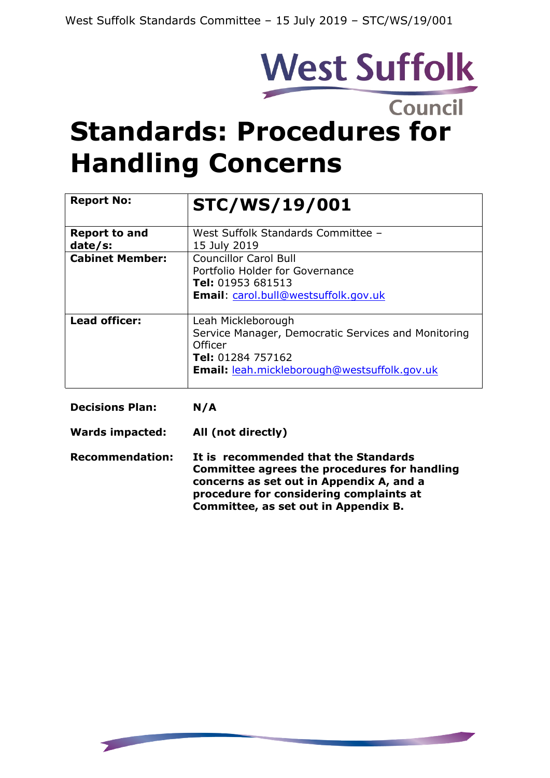

# **Standards: Procedures for Handling Concerns**

| <b>Report No:</b>               | <b>STC/WS/19/001</b>                                                                                                                                             |
|---------------------------------|------------------------------------------------------------------------------------------------------------------------------------------------------------------|
| <b>Report to and</b><br>date/s: | West Suffolk Standards Committee -<br>15 July 2019                                                                                                               |
| <b>Cabinet Member:</b>          | <b>Councillor Carol Bull</b><br>Portfolio Holder for Governance<br><b>Tel:</b> 01953 681513<br><b>Email</b> : carol.bull@westsuffolk.gov.uk                      |
| <b>Lead officer:</b>            | Leah Mickleborough<br>Service Manager, Democratic Services and Monitoring<br>Officer<br><b>Tel:</b> 01284 757162<br>Email: leah.mickleborough@westsuffolk.gov.uk |
| <b>Decisions Plan:</b>          | N/A                                                                                                                                                              |
| Wards impacted:                 | All (not directly)                                                                                                                                               |

**Recommendation: It is recommended that the Standards Committee agrees the procedures for handling concerns as set out in Appendix A, and a procedure for considering complaints at Committee, as set out in Appendix B.**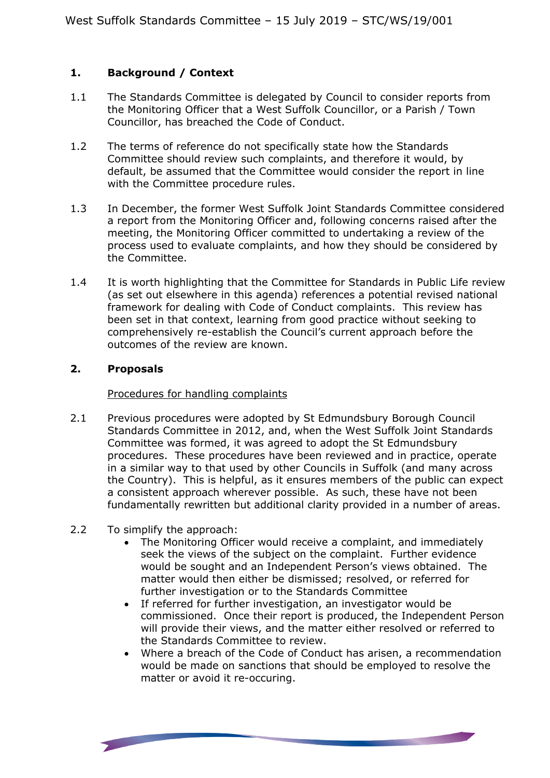## **1. Background / Context**

- 1.1 The Standards Committee is delegated by Council to consider reports from the Monitoring Officer that a West Suffolk Councillor, or a Parish / Town Councillor, has breached the Code of Conduct.
- 1.2 The terms of reference do not specifically state how the Standards Committee should review such complaints, and therefore it would, by default, be assumed that the Committee would consider the report in line with the Committee procedure rules.
- 1.3 In December, the former West Suffolk Joint Standards Committee considered a report from the Monitoring Officer and, following concerns raised after the meeting, the Monitoring Officer committed to undertaking a review of the process used to evaluate complaints, and how they should be considered by the Committee.
- 1.4 It is worth highlighting that the Committee for Standards in Public Life review (as set out elsewhere in this agenda) references a potential revised national framework for dealing with Code of Conduct complaints. This review has been set in that context, learning from good practice without seeking to comprehensively re-establish the Council's current approach before the outcomes of the review are known.

## **2. Proposals**

### Procedures for handling complaints

- 2.1 Previous procedures were adopted by St Edmundsbury Borough Council Standards Committee in 2012, and, when the West Suffolk Joint Standards Committee was formed, it was agreed to adopt the St Edmundsbury procedures. These procedures have been reviewed and in practice, operate in a similar way to that used by other Councils in Suffolk (and many across the Country). This is helpful, as it ensures members of the public can expect a consistent approach wherever possible. As such, these have not been fundamentally rewritten but additional clarity provided in a number of areas.
- 2.2 To simplify the approach:

- The Monitoring Officer would receive a complaint, and immediately seek the views of the subject on the complaint. Further evidence would be sought and an Independent Person's views obtained. The matter would then either be dismissed; resolved, or referred for further investigation or to the Standards Committee
- If referred for further investigation, an investigator would be commissioned. Once their report is produced, the Independent Person will provide their views, and the matter either resolved or referred to the Standards Committee to review.
- Where a breach of the Code of Conduct has arisen, a recommendation would be made on sanctions that should be employed to resolve the matter or avoid it re-occuring.

**State of the Company's Service**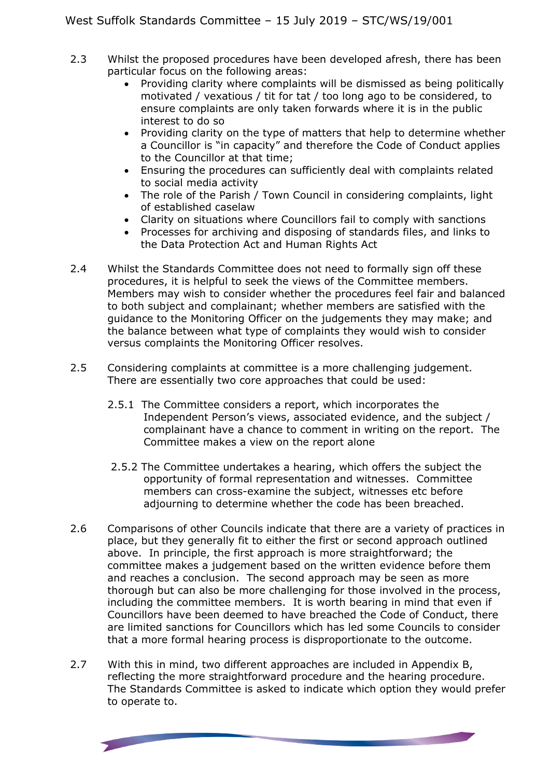- 2.3 Whilst the proposed procedures have been developed afresh, there has been particular focus on the following areas:
	- Providing clarity where complaints will be dismissed as being politically motivated / vexatious / tit for tat / too long ago to be considered, to ensure complaints are only taken forwards where it is in the public interest to do so
	- Providing clarity on the type of matters that help to determine whether a Councillor is "in capacity" and therefore the Code of Conduct applies to the Councillor at that time;
	- Ensuring the procedures can sufficiently deal with complaints related to social media activity
	- The role of the Parish / Town Council in considering complaints, light of established caselaw
	- Clarity on situations where Councillors fail to comply with sanctions
	- Processes for archiving and disposing of standards files, and links to the Data Protection Act and Human Rights Act
- 2.4 Whilst the Standards Committee does not need to formally sign off these procedures, it is helpful to seek the views of the Committee members. Members may wish to consider whether the procedures feel fair and balanced to both subject and complainant; whether members are satisfied with the guidance to the Monitoring Officer on the judgements they may make; and the balance between what type of complaints they would wish to consider versus complaints the Monitoring Officer resolves.
- 2.5 Considering complaints at committee is a more challenging judgement. There are essentially two core approaches that could be used:
	- 2.5.1 The Committee considers a report, which incorporates the Independent Person's views, associated evidence, and the subject / complainant have a chance to comment in writing on the report. The Committee makes a view on the report alone
	- 2.5.2 The Committee undertakes a hearing, which offers the subject the opportunity of formal representation and witnesses. Committee members can cross-examine the subject, witnesses etc before adjourning to determine whether the code has been breached.
- 2.6 Comparisons of other Councils indicate that there are a variety of practices in place, but they generally fit to either the first or second approach outlined above. In principle, the first approach is more straightforward; the committee makes a judgement based on the written evidence before them and reaches a conclusion. The second approach may be seen as more thorough but can also be more challenging for those involved in the process, including the committee members. It is worth bearing in mind that even if Councillors have been deemed to have breached the Code of Conduct, there are limited sanctions for Councillors which has led some Councils to consider that a more formal hearing process is disproportionate to the outcome.
- 2.7 With this in mind, two different approaches are included in Appendix B. reflecting the more straightforward procedure and the hearing procedure. The Standards Committee is asked to indicate which option they would prefer to operate to.

**State of the Company's**